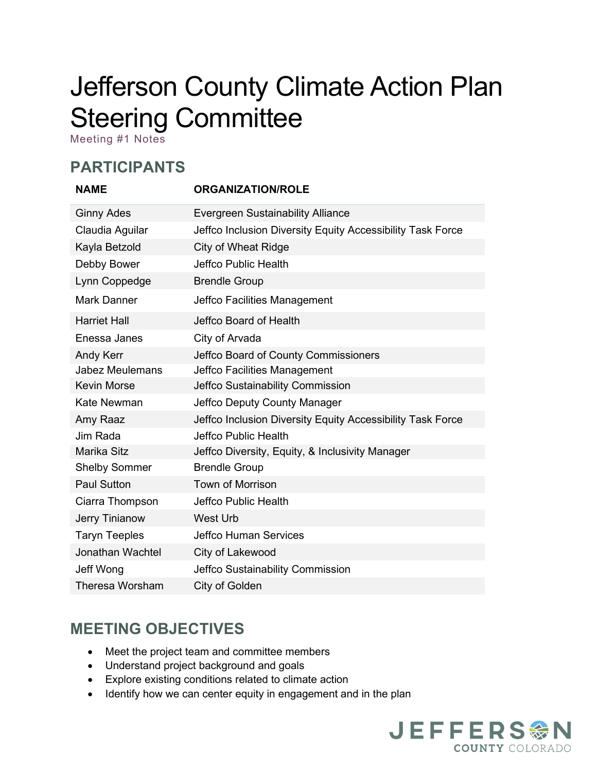# Jefferson County Climate Action Plan Steering Committee

Meeting #1 Notes

### **PARTICIPANTS**

| <b>NAME</b>             | <b>ORGANIZATION/ROLE</b>                                   |
|-------------------------|------------------------------------------------------------|
| <b>Ginny Ades</b>       | <b>Evergreen Sustainability Alliance</b>                   |
| Claudia Aguilar         | Jeffco Inclusion Diversity Equity Accessibility Task Force |
| Kayla Betzold           | <b>City of Wheat Ridge</b>                                 |
| Debby Bower             | <b>Jeffco Public Health</b>                                |
| Lynn Coppedge           | <b>Brendle Group</b>                                       |
| <b>Mark Danner</b>      | Jeffco Facilities Management                               |
| <b>Harriet Hall</b>     | Jeffco Board of Health                                     |
| Enessa Janes            | City of Arvada                                             |
| Andy Kerr               | Jeffco Board of County Commissioners                       |
| <b>Jabez Meulemans</b>  | Jeffco Facilities Management                               |
| <b>Kevin Morse</b>      | Jeffco Sustainability Commission                           |
| <b>Kate Newman</b>      | Jeffco Deputy County Manager                               |
| Amy Raaz                | Jeffco Inclusion Diversity Equity Accessibility Task Force |
| Jim Rada                | Jeffco Public Health                                       |
| Marika Sitz             | Jeffco Diversity, Equity, & Inclusivity Manager            |
| <b>Shelby Sommer</b>    | <b>Brendle Group</b>                                       |
| <b>Paul Sutton</b>      | <b>Town of Morrison</b>                                    |
| Ciarra Thompson         | Jeffco Public Health                                       |
| Jerry Tinianow          | West Urb                                                   |
| <b>Taryn Teeples</b>    | <b>Jeffco Human Services</b>                               |
| <b>Jonathan Wachtel</b> | City of Lakewood                                           |
| Jeff Wong               | Jeffco Sustainability Commission                           |
| <b>Theresa Worsham</b>  | City of Golden                                             |

### **MEETING OBJECTIVES**

- Meet the project team and committee members
- Understand project background and goals
- Explore existing conditions related to climate action
- Identify how we can center equity in engagement and in the plan

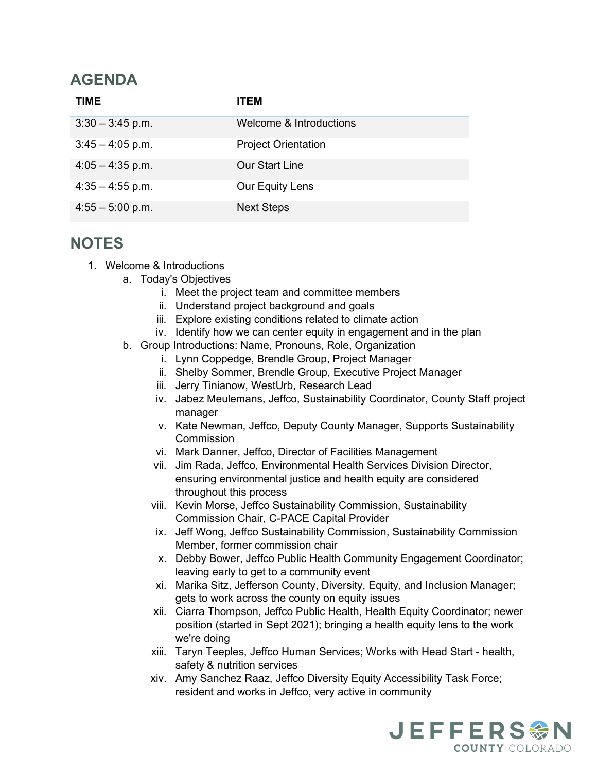### **AGENDA**

| <b>TIME</b>        | ITEM                       |
|--------------------|----------------------------|
| $3:30 - 3:45$ p.m. | Welcome & Introductions    |
| $3:45 - 4:05$ p.m. | <b>Project Orientation</b> |
| $4:05 - 4:35$ p.m. | <b>Our Start Line</b>      |
| $4:35 - 4:55$ p.m. | Our Equity Lens            |
| $4:55 - 5:00$ p.m. | <b>Next Steps</b>          |

#### **NOTES**

- 1. Welcome & Introductions
	- a. Today's Objectives
		- i. Meet the project team and committee members
		- ii. Understand project background and goals
		- iii. Explore existing conditions related to climate action
		- iv. Identify how we can center equity in engagement and in the plan
	- b. Group Introductions: Name, Pronouns, Role, Organization
		- i. Lynn Coppedge, Brendle Group, Project Manager
		- ii. Shelby Sommer, Brendle Group, Executive Project Manager
		- iii. Jerry Tinianow, WestUrb, Research Lead
		- iv. Jabez Meulemans, Jeffco, Sustainability Coordinator, County Staff project manager
		- v. Kate Newman, Jeffco, Deputy County Manager, Supports Sustainability **Commission**
		- vi. Mark Danner, Jeffco, Director of Facilities Management
		- vii. Jim Rada, Jeffco, Environmental Health Services Division Director, ensuring environmental justice and health equity are considered throughout this process
		- viii. Kevin Morse, Jeffco Sustainability Commission, Sustainability Commission Chair, C-PACE Capital Provider
		- ix. Jeff Wong, Jeffco Sustainability Commission, Sustainability Commission Member, former commission chair
		- x. Debby Bower, Jeffco Public Health Community Engagement Coordinator; leaving early to get to a community event
		- xi. Marika Sitz, Jefferson County, Diversity, Equity, and Inclusion Manager; gets to work across the county on equity issues
		- xii. Ciarra Thompson, Jeffco Public Health, Health Equity Coordinator; newer position (started in Sept 2021); bringing a health equity lens to the work we're doing
		- xiii. Taryn Teeples, Jeffco Human Services; Works with Head Start health, safety & nutrition services
		- xiv. Amy Sanchez Raaz, Jeffco Diversity Equity Accessibility Task Force; resident and works in Jeffco, very active in community

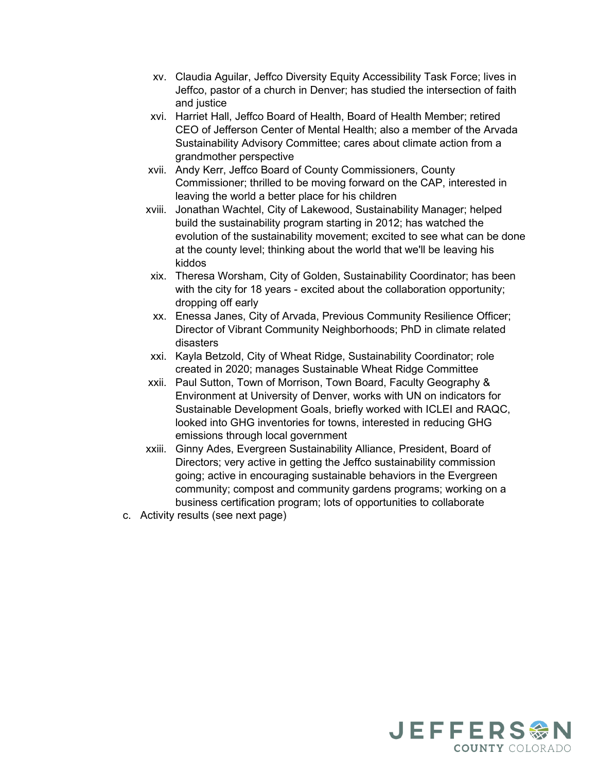- xv. Claudia Aguilar, Jeffco Diversity Equity Accessibility Task Force; lives in Jeffco, pastor of a church in Denver; has studied the intersection of faith and justice
- xvi. Harriet Hall, Jeffco Board of Health, Board of Health Member; retired CEO of Jefferson Center of Mental Health; also a member of the Arvada Sustainability Advisory Committee; cares about climate action from a grandmother perspective
- xvii. Andy Kerr, Jeffco Board of County Commissioners, County Commissioner; thrilled to be moving forward on the CAP, interested in leaving the world a better place for his children
- xviii. Jonathan Wachtel, City of Lakewood, Sustainability Manager; helped build the sustainability program starting in 2012; has watched the evolution of the sustainability movement; excited to see what can be done at the county level; thinking about the world that we'll be leaving his kiddos
- xix. Theresa Worsham, City of Golden, Sustainability Coordinator; has been with the city for 18 years - excited about the collaboration opportunity; dropping off early
- xx. Enessa Janes, City of Arvada, Previous Community Resilience Officer; Director of Vibrant Community Neighborhoods; PhD in climate related disasters
- xxi. Kayla Betzold, City of Wheat Ridge, Sustainability Coordinator; role created in 2020; manages Sustainable Wheat Ridge Committee
- xxii. Paul Sutton, Town of Morrison, Town Board, Faculty Geography & Environment at University of Denver, works with UN on indicators for Sustainable Development Goals, briefly worked with ICLEI and RAQC, looked into GHG inventories for towns, interested in reducing GHG emissions through local government
- xxiii. Ginny Ades, Evergreen Sustainability Alliance, President, Board of Directors; very active in getting the Jeffco sustainability commission going; active in encouraging sustainable behaviors in the Evergreen community; compost and community gardens programs; working on a business certification program; lots of opportunities to collaborate
- c. Activity results (see next page)

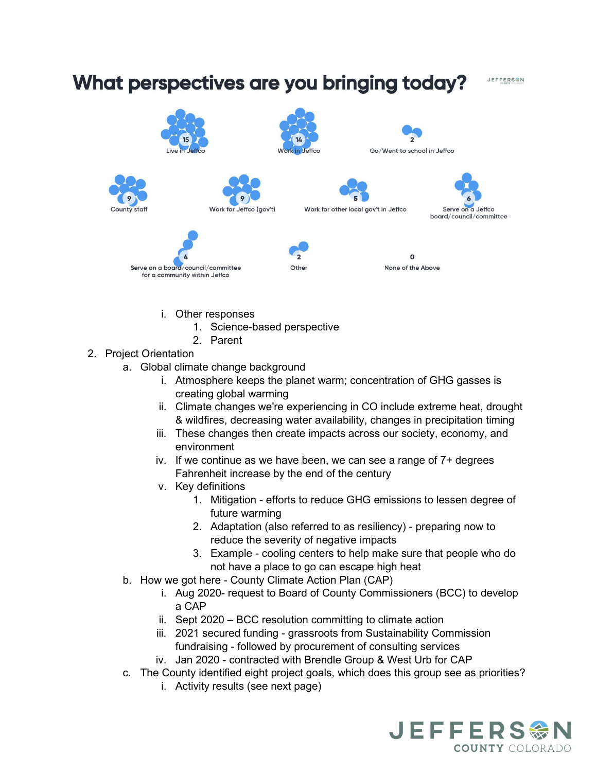## What perspectives are you bringing today?

JEFFERSON





Other







Work for other local gov't in Jeffco



Serve on a board/council/committee for a community within Jeffco

None of the Above

 $\Omega$ 

- i. Other responses
	- 1. Science-based perspective
	- 2. Parent
- 2. Project Orientation
	- a. Global climate change background
		- i. Atmosphere keeps the planet warm; concentration of GHG gasses is creating global warming
		- ii. Climate changes we're experiencing in CO include extreme heat, drought & wildfires, decreasing water availability, changes in precipitation timing
		- iii. These changes then create impacts across our society, economy, and environment
		- iv. If we continue as we have been, we can see a range of 7+ degrees Fahrenheit increase by the end of the century
		- v. Key definitions
			- 1. Mitigation efforts to reduce GHG emissions to lessen degree of future warming
			- 2. Adaptation (also referred to as resiliency) preparing now to reduce the severity of negative impacts
			- 3. Example cooling centers to help make sure that people who do not have a place to go can escape high heat
	- b. How we got here County Climate Action Plan (CAP)
		- i. Aug 2020- request to Board of County Commissioners (BCC) to develop a CAP
		- ii. Sept 2020 BCC resolution committing to climate action
		- iii. 2021 secured funding grassroots from Sustainability Commission fundraising - followed by procurement of consulting services
		- iv. Jan 2020 contracted with Brendle Group & West Urb for CAP
	- c. The County identified eight project goals, which does this group see as priorities?
		- i. Activity results (see next page)

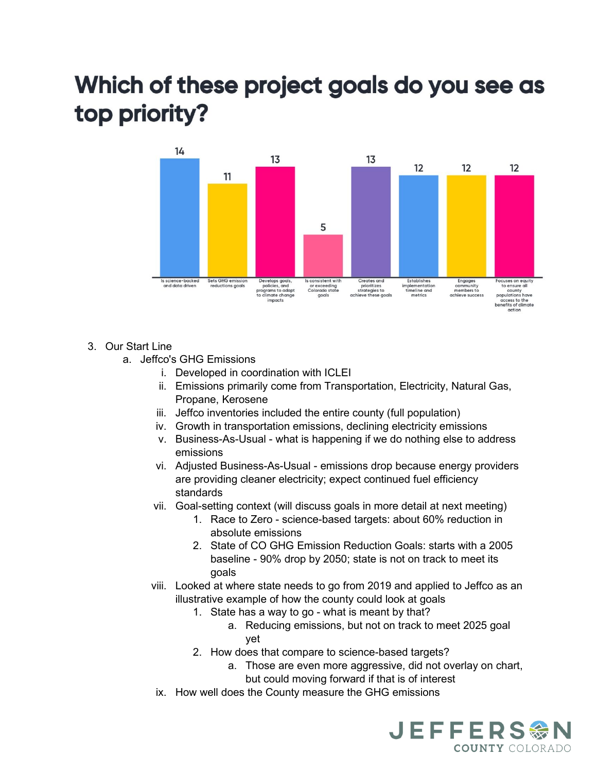## Which of these project goals do you see as top priority?



- 3. Our Start Line
	- a. Jeffco's GHG Emissions
		- i. Developed in coordination with ICLEI
		- ii. Emissions primarily come from Transportation, Electricity, Natural Gas, Propane, Kerosene
		- iii. Jeffco inventories included the entire county (full population)
		- iv. Growth in transportation emissions, declining electricity emissions
		- v. Business-As-Usual what is happening if we do nothing else to address emissions
		- vi. Adjusted Business-As-Usual emissions drop because energy providers are providing cleaner electricity; expect continued fuel efficiency standards
		- vii. Goal-setting context (will discuss goals in more detail at next meeting)
			- 1. Race to Zero science-based targets: about 60% reduction in absolute emissions
			- 2. State of CO GHG Emission Reduction Goals: starts with a 2005 baseline - 90% drop by 2050; state is not on track to meet its goals
		- viii. Looked at where state needs to go from 2019 and applied to Jeffco as an illustrative example of how the county could look at goals
			- 1. State has a way to go what is meant by that?
				- a. Reducing emissions, but not on track to meet 2025 goal yet
			- 2. How does that compare to science-based targets?
				- a. Those are even more aggressive, did not overlay on chart, but could moving forward if that is of interest
		- ix. How well does the County measure the GHG emissions

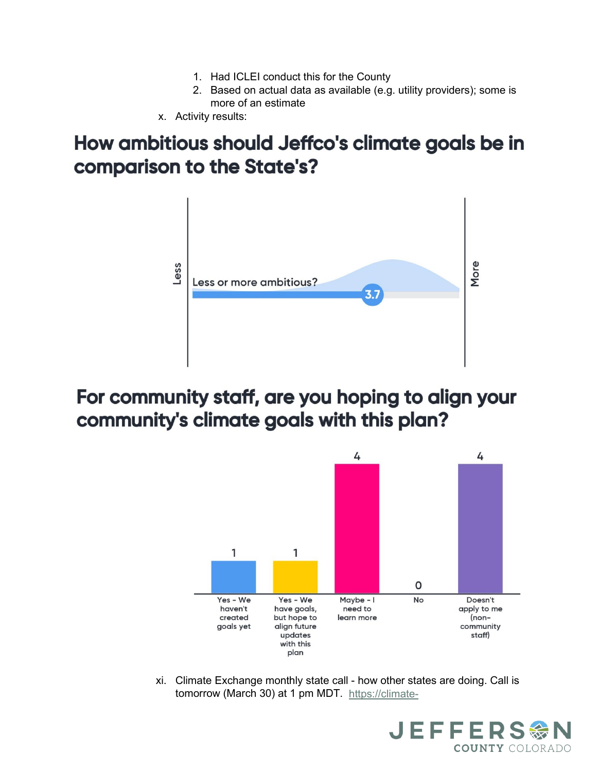- 1. Had ICLEI conduct this for the County
- 2. Based on actual data as available (e.g. utility providers); some is more of an estimate
- x. Activity results:

## How ambitious should Jeffco's climate goals be in comparison to the State's?



## For community staff, are you hoping to align your community's climate goals with this plan?



xi. Climate Exchange monthly state call - how other states are doing. Call is tomorrow (March 30) at 1 pm MDT. [https://climate-](https://climate-xchange.org/event/march-state-climate-policy-network-national-call-2022/)

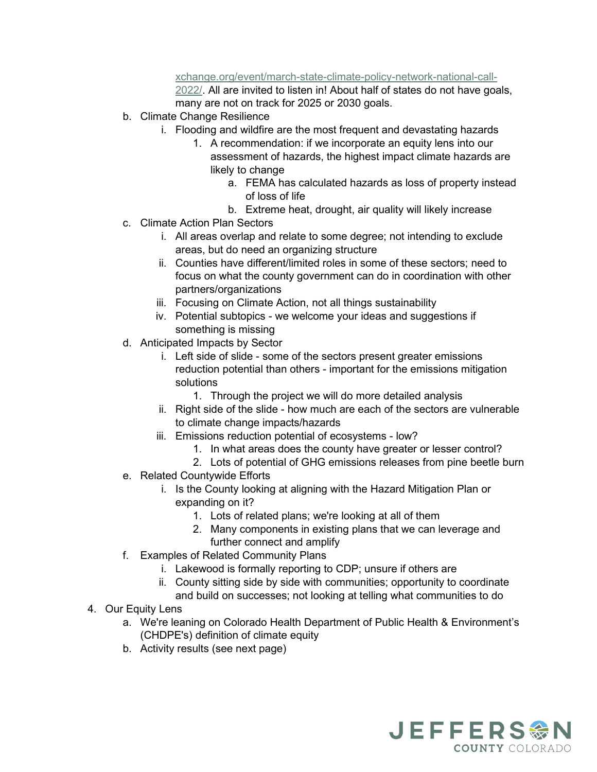[xchange.org/event/march-state-climate-policy-network-national-call-](https://climate-xchange.org/event/march-state-climate-policy-network-national-call-2022/)

[2022/.](https://climate-xchange.org/event/march-state-climate-policy-network-national-call-2022/) All are invited to listen in! About half of states do not have goals, many are not on track for 2025 or 2030 goals.

- b. Climate Change Resilience
	- i. Flooding and wildfire are the most frequent and devastating hazards
		- 1. A recommendation: if we incorporate an equity lens into our assessment of hazards, the highest impact climate hazards are likely to change
			- a. FEMA has calculated hazards as loss of property instead of loss of life
			- b. Extreme heat, drought, air quality will likely increase
- c. Climate Action Plan Sectors
	- i. All areas overlap and relate to some degree; not intending to exclude areas, but do need an organizing structure
	- ii. Counties have different/limited roles in some of these sectors; need to focus on what the county government can do in coordination with other partners/organizations
	- iii. Focusing on Climate Action, not all things sustainability
	- iv. Potential subtopics we welcome your ideas and suggestions if something is missing
- d. Anticipated Impacts by Sector
	- i. Left side of slide some of the sectors present greater emissions reduction potential than others - important for the emissions mitigation solutions
		- 1. Through the project we will do more detailed analysis
	- ii. Right side of the slide how much are each of the sectors are vulnerable to climate change impacts/hazards
	- iii. Emissions reduction potential of ecosystems low?
		- 1. In what areas does the county have greater or lesser control?
		- 2. Lots of potential of GHG emissions releases from pine beetle burn
- e. Related Countywide Efforts
	- i. Is the County looking at aligning with the Hazard Mitigation Plan or expanding on it?
		- 1. Lots of related plans; we're looking at all of them
		- 2. Many components in existing plans that we can leverage and further connect and amplify
- f. Examples of Related Community Plans
	- i. Lakewood is formally reporting to CDP; unsure if others are
	- ii. County sitting side by side with communities; opportunity to coordinate
	- and build on successes; not looking at telling what communities to do
- 4. Our Equity Lens
	- a. We're leaning on Colorado Health Department of Public Health & Environment's (CHDPE's) definition of climate equity
	- b. Activity results (see next page)

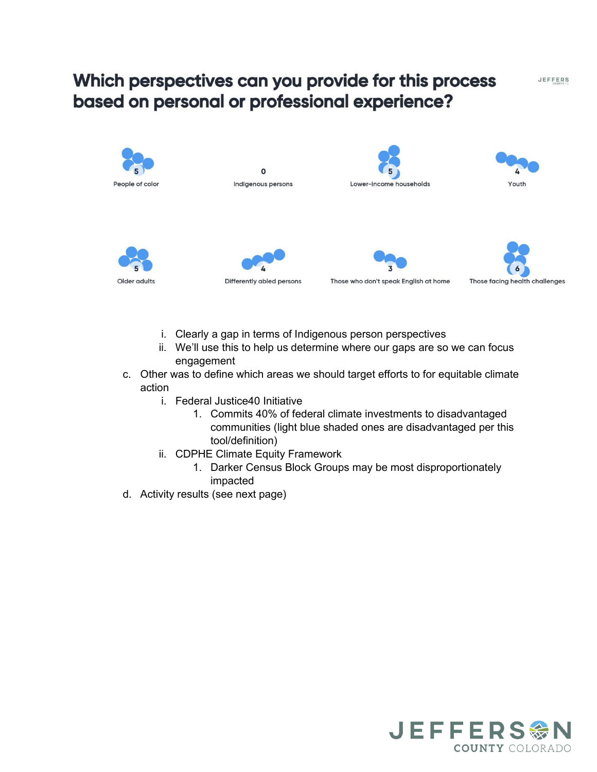### Which perspectives can you provide for this process based on personal or professional experience?

JEFFERS



- i. Clearly a gap in terms of Indigenous person perspectives
- ii. We'll use this to help us determine where our gaps are so we can focus engagement
- c. Other was to define which areas we should target efforts to for equitable climate action
	- i. Federal Justice40 Initiative
		- 1. Commits 40% of federal climate investments to disadvantaged communities (light blue shaded ones are disadvantaged per this tool/definition)
	- ii. CDPHE Climate Equity Framework
		- 1. Darker Census Block Groups may be most disproportionately impacted
- d. Activity results (see next page)

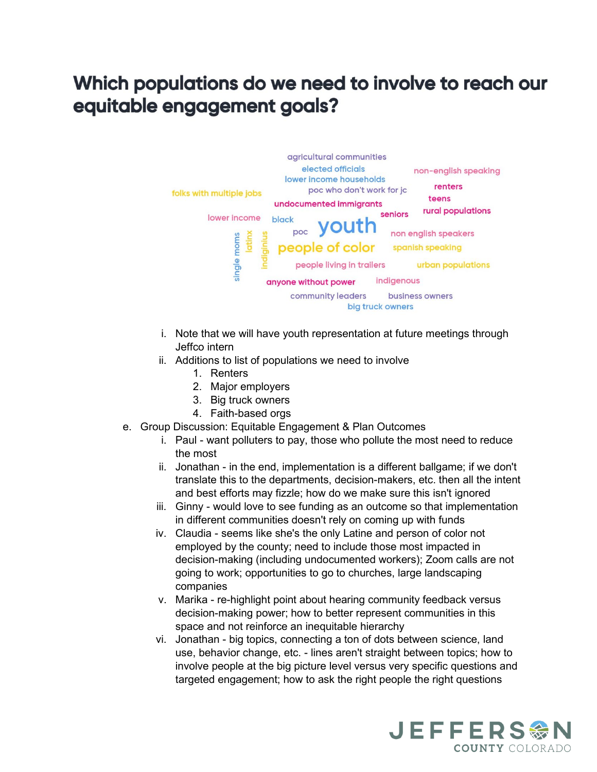## Which populations do we need to involve to reach our equitable engagement goals?



- i. Note that we will have youth representation at future meetings through Jeffco intern
- ii. Additions to list of populations we need to involve
	- 1. Renters
	- 2. Major employers
	- 3. Big truck owners
	- 4. Faith-based orgs
- e. Group Discussion: Equitable Engagement & Plan Outcomes
	- i. Paul want polluters to pay, those who pollute the most need to reduce the most
	- ii. Jonathan in the end, implementation is a different ballgame; if we don't translate this to the departments, decision-makers, etc. then all the intent and best efforts may fizzle; how do we make sure this isn't ignored
	- iii. Ginny would love to see funding as an outcome so that implementation in different communities doesn't rely on coming up with funds
	- iv. Claudia seems like she's the only Latine and person of color not employed by the county; need to include those most impacted in decision-making (including undocumented workers); Zoom calls are not going to work; opportunities to go to churches, large landscaping companies
	- v. Marika re-highlight point about hearing community feedback versus decision-making power; how to better represent communities in this space and not reinforce an inequitable hierarchy
	- vi. Jonathan big topics, connecting a ton of dots between science, land use, behavior change, etc. - lines aren't straight between topics; how to involve people at the big picture level versus very specific questions and targeted engagement; how to ask the right people the right questions